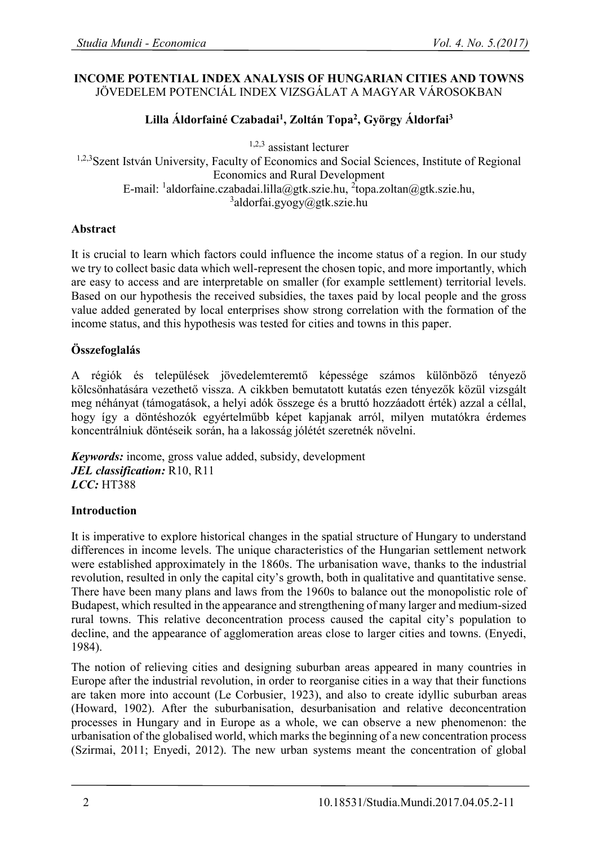#### **INCOME POTENTIAL INDEX ANALYSIS OF HUNGARIAN CITIES AND TOWNS**  JÖVEDELEM POTENCIÁL INDEX VIZSGÁLAT A MAGYAR VÁROSOKBAN

# **Lilla Áldorfainé Czabadai<sup>1</sup> , Zoltán Topa<sup>2</sup> , György Áldorfai<sup>3</sup>**

1,2,3 assistant lecturer

<sup>1,2,3</sup>Szent István University, Faculty of Economics and Social Sciences, Institute of Regional Economics and Rural Development E-mail: <sup>1</sup>aldorfaine.czabadai.lilla@gtk.szie.hu, <sup>2</sup>topa.zoltan@gtk.szie.hu, 3 aldorfai.gyogy@gtk.szie.hu

### **Abstract**

It is crucial to learn which factors could influence the income status of a region. In our study we try to collect basic data which well-represent the chosen topic, and more importantly, which are easy to access and are interpretable on smaller (for example settlement) territorial levels. Based on our hypothesis the received subsidies, the taxes paid by local people and the gross value added generated by local enterprises show strong correlation with the formation of the income status, and this hypothesis was tested for cities and towns in this paper.

## **Összefoglalás**

A régiók és települések jövedelemteremtő képessége számos különböző tényező kölcsönhatására vezethető vissza. A cikkben bemutatott kutatás ezen tényezők közül vizsgált meg néhányat (támogatások, a helyi adók összege és a bruttó hozzáadott érték) azzal a céllal, hogy így a döntéshozók egyértelműbb képet kapjanak arról, milyen mutatókra érdemes koncentrálniuk döntéseik során, ha a lakosság jólétét szeretnék növelni.

*Keywords:* income, gross value added, subsidy, development *JEL classification:* R10, R11 *LCC:* HT388

## **Introduction**

It is imperative to explore historical changes in the spatial structure of Hungary to understand differences in income levels. The unique characteristics of the Hungarian settlement network were established approximately in the 1860s. The urbanisation wave, thanks to the industrial revolution, resulted in only the capital city's growth, both in qualitative and quantitative sense. There have been many plans and laws from the 1960s to balance out the monopolistic role of Budapest, which resulted in the appearance and strengthening of many larger and medium-sized rural towns. This relative deconcentration process caused the capital city's population to decline, and the appearance of agglomeration areas close to larger cities and towns. (Enyedi, 1984).

The notion of relieving cities and designing suburban areas appeared in many countries in Europe after the industrial revolution, in order to reorganise cities in a way that their functions are taken more into account (Le Corbusier, 1923), and also to create idyllic suburban areas (Howard, 1902). After the suburbanisation, desurbanisation and relative deconcentration processes in Hungary and in Europe as a whole, we can observe a new phenomenon: the urbanisation of the globalised world, which marks the beginning of a new concentration process (Szirmai, 2011; Enyedi, 2012). The new urban systems meant the concentration of global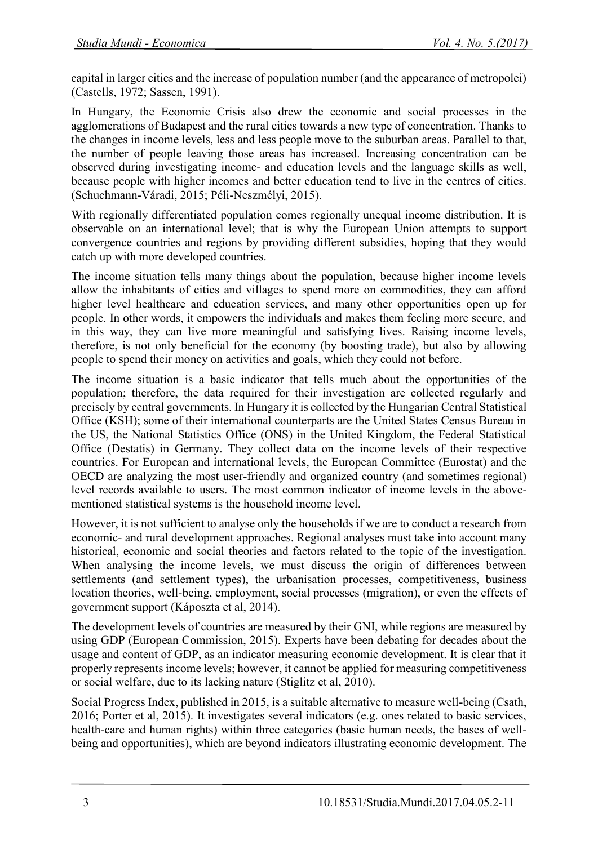capital in larger cities and the increase of population number (and the appearance of metropolei) (Castells, 1972; Sassen, 1991).

In Hungary, the Economic Crisis also drew the economic and social processes in the agglomerations of Budapest and the rural cities towards a new type of concentration. Thanks to the changes in income levels, less and less people move to the suburban areas. Parallel to that, the number of people leaving those areas has increased. Increasing concentration can be observed during investigating income- and education levels and the language skills as well, because people with higher incomes and better education tend to live in the centres of cities. (Schuchmann-Váradi, 2015; Péli-Neszmélyi, 2015).

With regionally differentiated population comes regionally unequal income distribution. It is observable on an international level; that is why the European Union attempts to support convergence countries and regions by providing different subsidies, hoping that they would catch up with more developed countries.

The income situation tells many things about the population, because higher income levels allow the inhabitants of cities and villages to spend more on commodities, they can afford higher level healthcare and education services, and many other opportunities open up for people. In other words, it empowers the individuals and makes them feeling more secure, and in this way, they can live more meaningful and satisfying lives. Raising income levels, therefore, is not only beneficial for the economy (by boosting trade), but also by allowing people to spend their money on activities and goals, which they could not before.

The income situation is a basic indicator that tells much about the opportunities of the population; therefore, the data required for their investigation are collected regularly and precisely by central governments. In Hungary it is collected by the Hungarian Central Statistical Office (KSH); some of their international counterparts are the United States Census Bureau in the US, the National Statistics Office (ONS) in the United Kingdom, the Federal Statistical Office (Destatis) in Germany. They collect data on the income levels of their respective countries. For European and international levels, the European Committee (Eurostat) and the OECD are analyzing the most user-friendly and organized country (and sometimes regional) level records available to users. The most common indicator of income levels in the abovementioned statistical systems is the household income level.

However, it is not sufficient to analyse only the households if we are to conduct a research from economic- and rural development approaches. Regional analyses must take into account many historical, economic and social theories and factors related to the topic of the investigation. When analysing the income levels, we must discuss the origin of differences between settlements (and settlement types), the urbanisation processes, competitiveness, business location theories, well-being, employment, social processes (migration), or even the effects of government support (Káposzta et al, 2014).

The development levels of countries are measured by their GNI, while regions are measured by using GDP (European Commission, 2015). Experts have been debating for decades about the usage and content of GDP, as an indicator measuring economic development. It is clear that it properly represents income levels; however, it cannot be applied for measuring competitiveness or social welfare, due to its lacking nature (Stiglitz et al, 2010).

Social Progress Index, published in 2015, is a suitable alternative to measure well-being (Csath, 2016; Porter et al, 2015). It investigates several indicators (e.g. ones related to basic services, health-care and human rights) within three categories (basic human needs, the bases of wellbeing and opportunities), which are beyond indicators illustrating economic development. The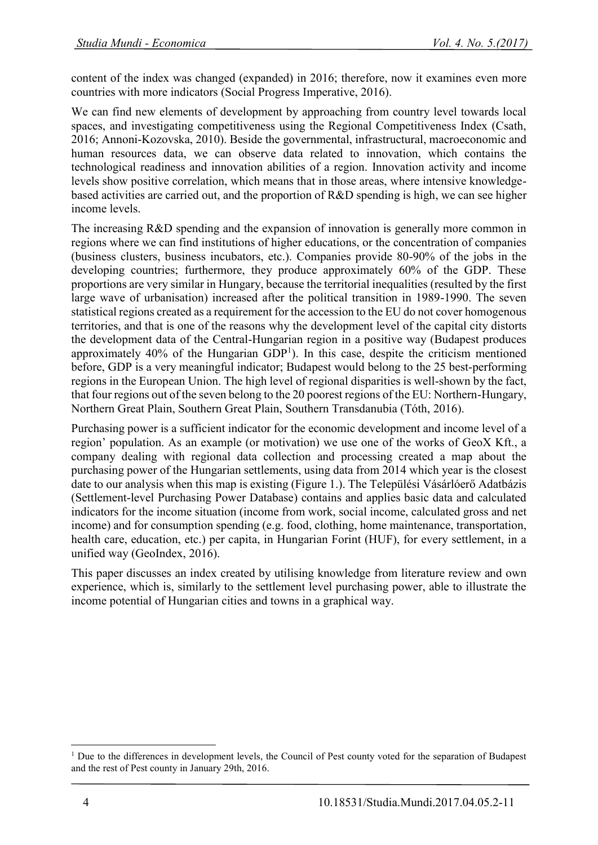content of the index was changed (expanded) in 2016; therefore, now it examines even more countries with more indicators (Social Progress Imperative, 2016).

We can find new elements of development by approaching from country level towards local spaces, and investigating competitiveness using the Regional Competitiveness Index (Csath, 2016; Annoni-Kozovska, 2010). Beside the governmental, infrastructural, macroeconomic and human resources data, we can observe data related to innovation, which contains the technological readiness and innovation abilities of a region. Innovation activity and income levels show positive correlation, which means that in those areas, where intensive knowledgebased activities are carried out, and the proportion of R&D spending is high, we can see higher income levels.

The increasing R&D spending and the expansion of innovation is generally more common in regions where we can find institutions of higher educations, or the concentration of companies (business clusters, business incubators, etc.). Companies provide 80-90% of the jobs in the developing countries; furthermore, they produce approximately 60% of the GDP. These proportions are very similar in Hungary, because the territorial inequalities (resulted by the first large wave of urbanisation) increased after the political transition in 1989-1990. The seven statistical regions created as a requirement for the accession to the EU do not cover homogenous territories, and that is one of the reasons why the development level of the capital city distorts the development data of the Central-Hungarian region in a positive way (Budapest produces approximately 40% of the Hungarian  $GDP<sup>1</sup>$ ). In this case, despite the criticism mentioned before, GDP is a very meaningful indicator; Budapest would belong to the 25 best-performing regions in the European Union. The high level of regional disparities is well-shown by the fact, that four regions out of the seven belong to the 20 poorest regions of the EU: Northern-Hungary, Northern Great Plain, Southern Great Plain, Southern Transdanubia (Tóth, 2016).

Purchasing power is a sufficient indicator for the economic development and income level of a region' population. As an example (or motivation) we use one of the works of GeoX Kft., a company dealing with regional data collection and processing created a map about the purchasing power of the Hungarian settlements, using data from 2014 which year is the closest date to our analysis when this map is existing (Figure 1.). The Települési Vásárlóerő Adatbázis (Settlement-level Purchasing Power Database) contains and applies basic data and calculated indicators for the income situation (income from work, social income, calculated gross and net income) and for consumption spending (e.g. food, clothing, home maintenance, transportation, health care, education, etc.) per capita, in Hungarian Forint (HUF), for every settlement, in a unified way (GeoIndex, 2016).

This paper discusses an index created by utilising knowledge from literature review and own experience, which is, similarly to the settlement level purchasing power, able to illustrate the income potential of Hungarian cities and towns in a graphical way.

 $\overline{a}$ 

<sup>&</sup>lt;sup>1</sup> Due to the differences in development levels, the Council of Pest county voted for the separation of Budapest and the rest of Pest county in January 29th, 2016.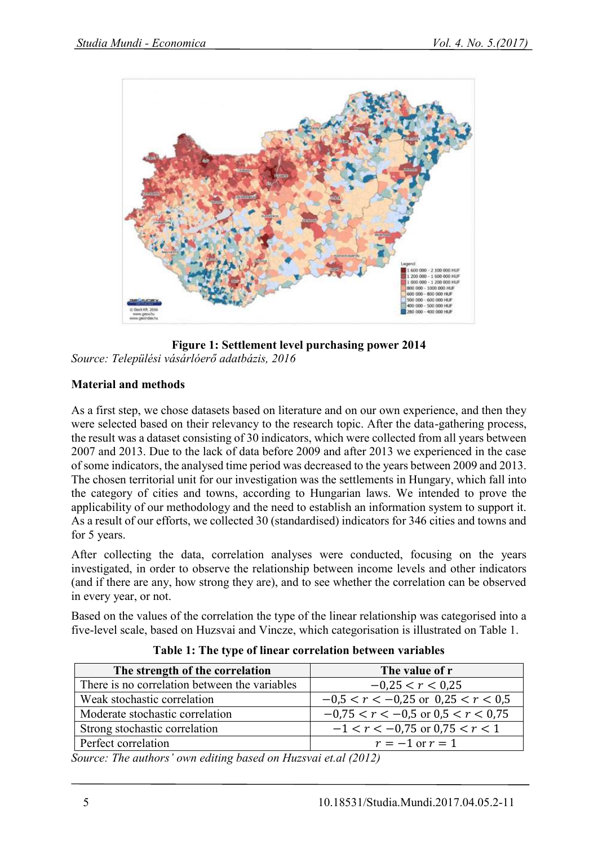

**Figure 1: Settlement level purchasing power 2014** *Source: Települési vásárlóerő adatbázis, 2016*

## **Material and methods**

As a first step, we chose datasets based on literature and on our own experience, and then they were selected based on their relevancy to the research topic. After the data-gathering process, the result was a dataset consisting of 30 indicators, which were collected from all years between 2007 and 2013. Due to the lack of data before 2009 and after 2013 we experienced in the case of some indicators, the analysed time period was decreased to the years between 2009 and 2013. The chosen territorial unit for our investigation was the settlements in Hungary, which fall into the category of cities and towns, according to Hungarian laws. We intended to prove the applicability of our methodology and the need to establish an information system to support it. As a result of our efforts, we collected 30 (standardised) indicators for 346 cities and towns and for 5 years.

After collecting the data, correlation analyses were conducted, focusing on the years investigated, in order to observe the relationship between income levels and other indicators (and if there are any, how strong they are), and to see whether the correlation can be observed in every year, or not.

Based on the values of the correlation the type of the linear relationship was categorised into a five-level scale, based on Huzsvai and Vincze, which categorisation is illustrated on Table 1.

| The strength of the correlation               | The value of r                         |
|-----------------------------------------------|----------------------------------------|
| There is no correlation between the variables | $-0.25 < r < 0.25$                     |
| Weak stochastic correlation                   | $-0.5 < r < -0.25$ or $0.25 < r < 0.5$ |
| Moderate stochastic correlation               | $-0.75 < r < -0.5$ or $0.5 < r < 0.75$ |
| Strong stochastic correlation                 | $-1 < r < -0.75$ or 0.75 $< r < 1$     |
| Perfect correlation                           | $r = -1$ or $r = 1$                    |
| $\sim$ $\sim$ $\sim$ $\sim$ $\sim$            |                                        |

**Table 1: The type of linear correlation between variables** 

*Source: The authors' own editing based on Huzsvai et.al (2012)*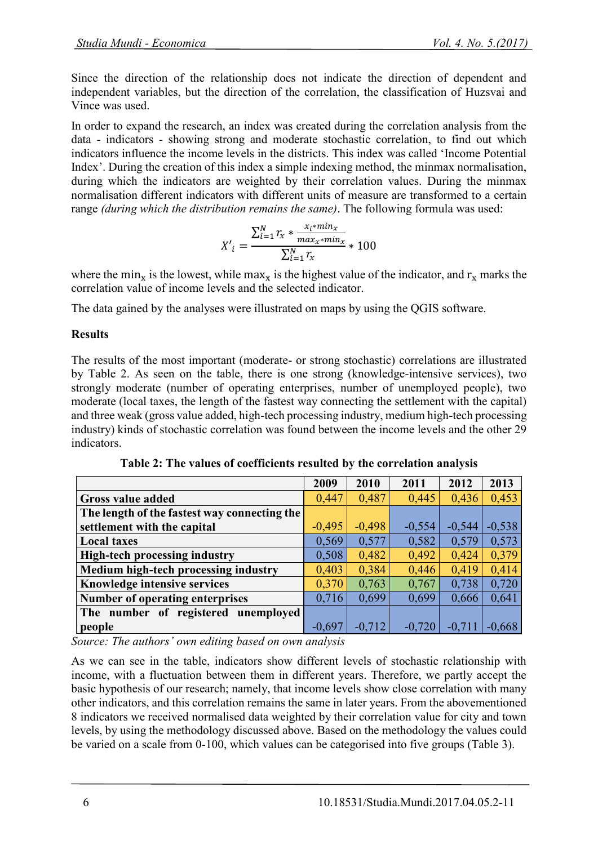Since the direction of the relationship does not indicate the direction of dependent and independent variables, but the direction of the correlation, the classification of Huzsvai and Vince was used.

In order to expand the research, an index was created during the correlation analysis from the data - indicators - showing strong and moderate stochastic correlation, to find out which indicators influence the income levels in the districts. This index was called 'Income Potential Index'. During the creation of this index a simple indexing method, the minmax normalisation, during which the indicators are weighted by their correlation values. During the minmax normalisation different indicators with different units of measure are transformed to a certain range *(during which the distribution remains the same)*. The following formula was used:

$$
X'_{i} = \frac{\sum_{i=1}^{N} r_{x} * \frac{x_{i} * min_{x}}{max_{x} * min_{x}}}{\sum_{i=1}^{N} r_{x}} * 100
$$

where the min<sub>x</sub> is the lowest, while max<sub>x</sub> is the highest value of the indicator, and  $r_x$  marks the correlation value of income levels and the selected indicator.

The data gained by the analyses were illustrated on maps by using the QGIS software.

## **Results**

The results of the most important (moderate- or strong stochastic) correlations are illustrated by Table 2. As seen on the table, there is one strong (knowledge-intensive services), two strongly moderate (number of operating enterprises, number of unemployed people), two moderate (local taxes, the length of the fastest way connecting the settlement with the capital) and three weak (gross value added, high-tech processing industry, medium high-tech processing industry) kinds of stochastic correlation was found between the income levels and the other 29 indicators.

|                                              | 2009     | 2010     | 2011     | 2012     | 2013     |
|----------------------------------------------|----------|----------|----------|----------|----------|
| <b>Gross value added</b>                     | 0,447    | 0,487    | 0,445    | 0,436    | 0,453    |
| The length of the fastest way connecting the |          |          |          |          |          |
| settlement with the capital                  | $-0,495$ | $-0,498$ | $-0,554$ | $-0,544$ | $-0,538$ |
| <b>Local taxes</b>                           | 0,569    | 0,577    | 0,582    | 0,579    | 0,573    |
| <b>High-tech processing industry</b>         | 0,508    | 0,482    | 0,492    | 0,424    | 0,379    |
| Medium high-tech processing industry         | 0,403    | 0,384    | 0,446    | 0,419    | 0,414    |
| Knowledge intensive services                 | 0,370    | 0,763    | 0,767    | 0,738    | 0,720    |
| Number of operating enterprises              | 0,716    | 0,699    | 0,699    | 0,666    | 0,641    |
| The number of registered unemployed          |          |          |          |          |          |
| people                                       | $-0,697$ | $-0.712$ | $-0,720$ | $-0.711$ | $-0.668$ |

**Table 2: The values of coefficients resulted by the correlation analysis**

*Source: The authors' own editing based on own analysis*

As we can see in the table, indicators show different levels of stochastic relationship with income, with a fluctuation between them in different years. Therefore, we partly accept the basic hypothesis of our research; namely, that income levels show close correlation with many other indicators, and this correlation remains the same in later years. From the abovementioned 8 indicators we received normalised data weighted by their correlation value for city and town levels, by using the methodology discussed above. Based on the methodology the values could be varied on a scale from 0-100, which values can be categorised into five groups (Table 3).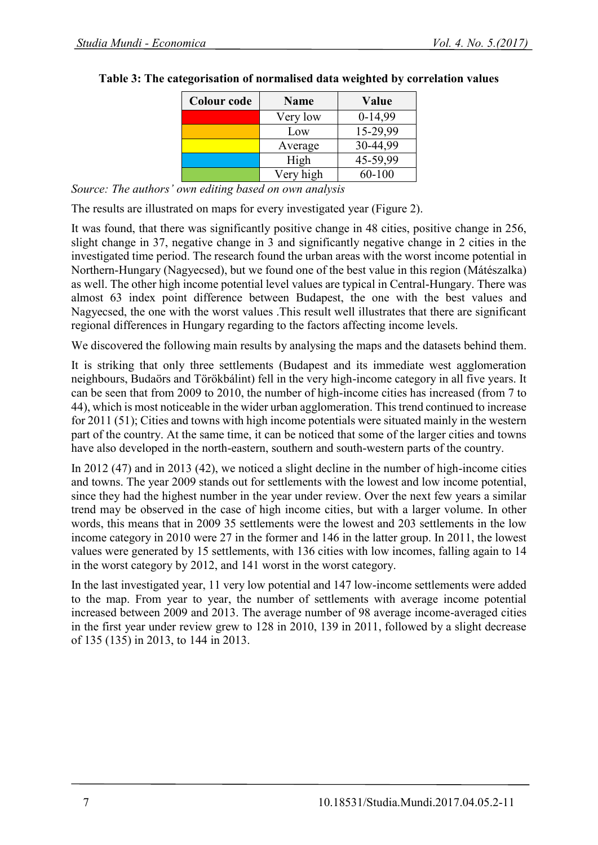| <b>Colour code</b> | <b>Name</b> | Value      |
|--------------------|-------------|------------|
|                    | Very low    | $0-14,99$  |
|                    | Low         | 15-29,99   |
|                    | Average     | 30-44,99   |
|                    | High        | 45-59,99   |
|                    | Very high   | $60 - 100$ |

### **Table 3: The categorisation of normalised data weighted by correlation values**

*Source: The authors' own editing based on own analysis*

The results are illustrated on maps for every investigated year (Figure 2).

It was found, that there was significantly positive change in 48 cities, positive change in 256, slight change in 37, negative change in 3 and significantly negative change in 2 cities in the investigated time period. The research found the urban areas with the worst income potential in Northern-Hungary (Nagyecsed), but we found one of the best value in this region (Mátészalka) as well. The other high income potential level values are typical in Central-Hungary. There was almost 63 index point difference between Budapest, the one with the best values and Nagyecsed, the one with the worst values .This result well illustrates that there are significant regional differences in Hungary regarding to the factors affecting income levels.

We discovered the following main results by analysing the maps and the datasets behind them.

It is striking that only three settlements (Budapest and its immediate west agglomeration neighbours, Budaörs and Törökbálint) fell in the very high-income category in all five years. It can be seen that from 2009 to 2010, the number of high-income cities has increased (from 7 to 44), which is most noticeable in the wider urban agglomeration. This trend continued to increase for 2011 (51); Cities and towns with high income potentials were situated mainly in the western part of the country. At the same time, it can be noticed that some of the larger cities and towns have also developed in the north-eastern, southern and south-western parts of the country.

In 2012 (47) and in 2013 (42), we noticed a slight decline in the number of high-income cities and towns. The year 2009 stands out for settlements with the lowest and low income potential, since they had the highest number in the year under review. Over the next few years a similar trend may be observed in the case of high income cities, but with a larger volume. In other words, this means that in 2009 35 settlements were the lowest and 203 settlements in the low income category in 2010 were 27 in the former and 146 in the latter group. In 2011, the lowest values were generated by 15 settlements, with 136 cities with low incomes, falling again to 14 in the worst category by 2012, and 141 worst in the worst category.

In the last investigated year, 11 very low potential and 147 low-income settlements were added to the map. From year to year, the number of settlements with average income potential increased between 2009 and 2013. The average number of 98 average income-averaged cities in the first year under review grew to 128 in 2010, 139 in 2011, followed by a slight decrease of 135 (135) in 2013, to 144 in 2013.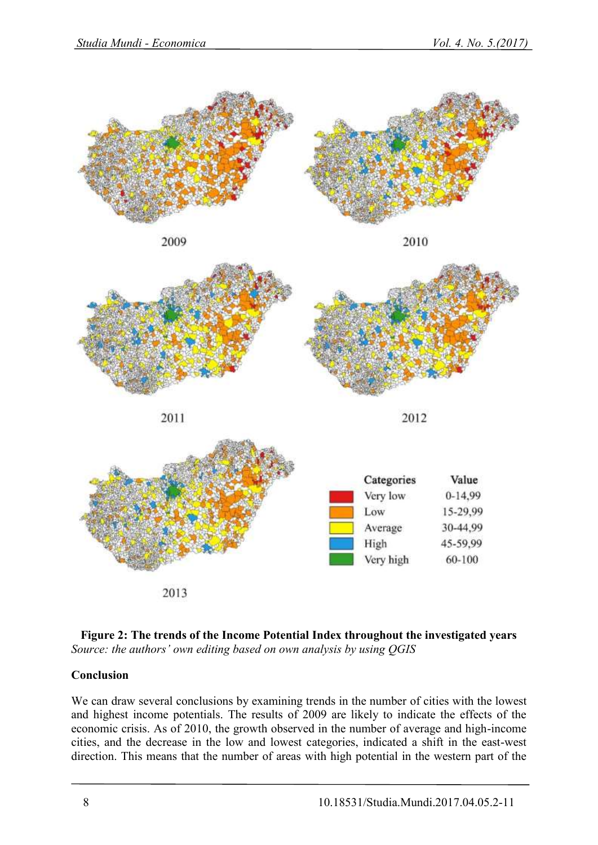







2013



## **Conclusion**

We can draw several conclusions by examining trends in the number of cities with the lowest and highest income potentials. The results of 2009 are likely to indicate the effects of the economic crisis. As of 2010, the growth observed in the number of average and high-income cities, and the decrease in the low and lowest categories, indicated a shift in the east-west direction. This means that the number of areas with high potential in the western part of the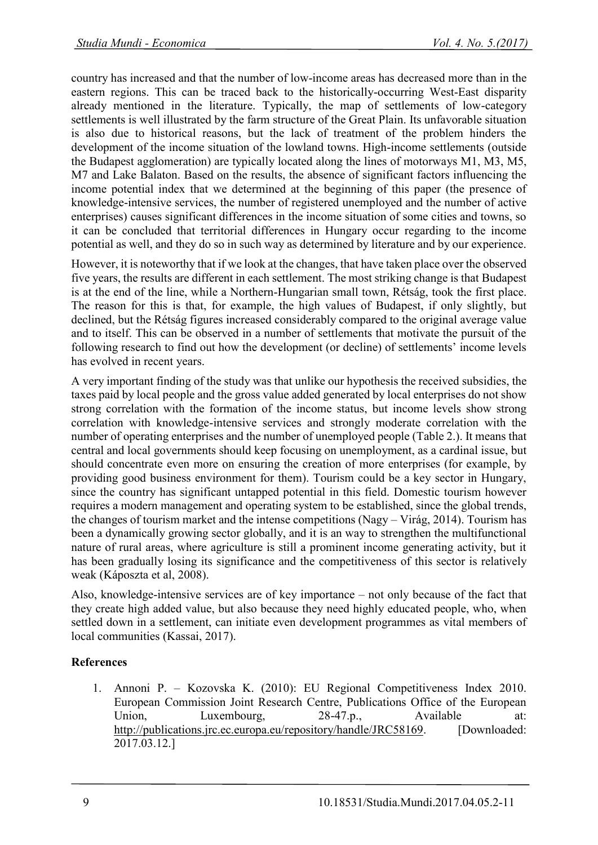country has increased and that the number of low-income areas has decreased more than in the eastern regions. This can be traced back to the historically-occurring West-East disparity already mentioned in the literature. Typically, the map of settlements of low-category settlements is well illustrated by the farm structure of the Great Plain. Its unfavorable situation is also due to historical reasons, but the lack of treatment of the problem hinders the development of the income situation of the lowland towns. High-income settlements (outside the Budapest agglomeration) are typically located along the lines of motorways M1, M3, M5, M7 and Lake Balaton. Based on the results, the absence of significant factors influencing the income potential index that we determined at the beginning of this paper (the presence of knowledge-intensive services, the number of registered unemployed and the number of active enterprises) causes significant differences in the income situation of some cities and towns, so it can be concluded that territorial differences in Hungary occur regarding to the income potential as well, and they do so in such way as determined by literature and by our experience.

However, it is noteworthy that if we look at the changes, that have taken place over the observed five years, the results are different in each settlement. The most striking change is that Budapest is at the end of the line, while a Northern-Hungarian small town, Rétság, took the first place. The reason for this is that, for example, the high values of Budapest, if only slightly, but declined, but the Rétság figures increased considerably compared to the original average value and to itself. This can be observed in a number of settlements that motivate the pursuit of the following research to find out how the development (or decline) of settlements' income levels has evolved in recent years.

A very important finding of the study was that unlike our hypothesis the received subsidies, the taxes paid by local people and the gross value added generated by local enterprises do not show strong correlation with the formation of the income status, but income levels show strong correlation with knowledge-intensive services and strongly moderate correlation with the number of operating enterprises and the number of unemployed people (Table 2.). It means that central and local governments should keep focusing on unemployment, as a cardinal issue, but should concentrate even more on ensuring the creation of more enterprises (for example, by providing good business environment for them). Tourism could be a key sector in Hungary, since the country has significant untapped potential in this field. Domestic tourism however requires a modern management and operating system to be established, since the global trends, the changes of tourism market and the intense competitions (Nagy – Virág, 2014). Tourism has been a dynamically growing sector globally, and it is an way to strengthen the multifunctional nature of rural areas, where agriculture is still a prominent income generating activity, but it has been gradually losing its significance and the competitiveness of this sector is relatively weak (Káposzta et al, 2008).

Also, knowledge-intensive services are of key importance – not only because of the fact that they create high added value, but also because they need highly educated people, who, when settled down in a settlement, can initiate even development programmes as vital members of local communities (Kassai, 2017).

## **References**

1. Annoni P. – Kozovska K. (2010): EU Regional Competitiveness Index 2010. European Commission Joint Research Centre, Publications Office of the European Union, Luxembourg, 28-47.p., Available at: [http://publications.jrc.ec.europa.eu/repository/handle/JRC58169.](http://publications.jrc.ec.europa.eu/repository/handle/JRC58169) [Downloaded: 2017.03.12.]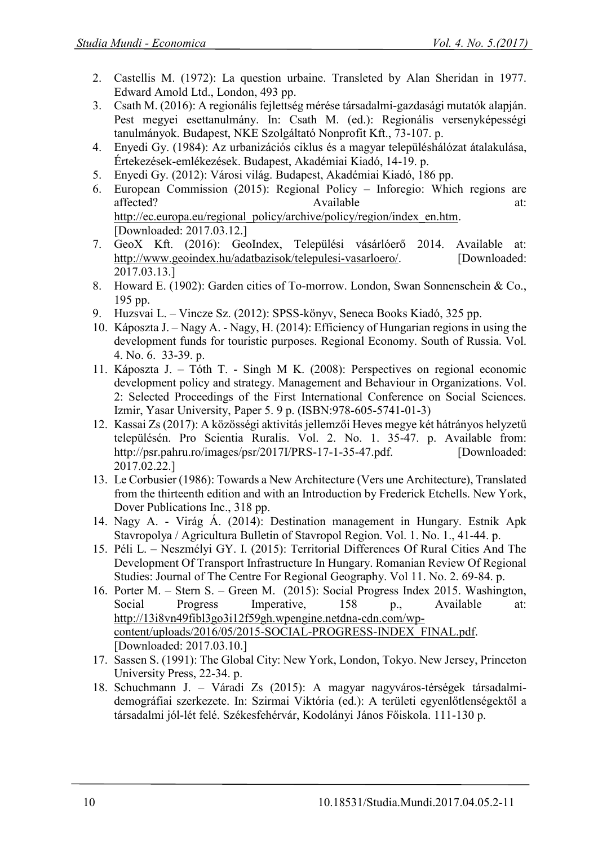- 2. Castellis M. (1972): La question urbaine. Transleted by Alan Sheridan in 1977. Edward Amold Ltd., London, 493 pp.
- 3. Csath M. (2016): A regionális fejlettség mérése társadalmi-gazdasági mutatók alapján. Pest megyei esettanulmány. In: Csath M. (ed.): Regionális versenyképességi tanulmányok. Budapest, NKE Szolgáltató Nonprofit Kft., 73-107. p.
- 4. Enyedi Gy. (1984): Az urbanizációs ciklus és a magyar településhálózat átalakulása, Értekezések-emlékezések. Budapest, Akadémiai Kiadó, 14-19. p.
- 5. Enyedi Gy. (2012): Városi világ. Budapest, Akadémiai Kiadó, 186 pp.
- 6. European Commission (2015): Regional Policy Inforegio: Which regions are affected? Available at: [http://ec.europa.eu/regional\\_policy/archive/policy/region/index\\_en.htm.](http://ec.europa.eu/regional_policy/archive/policy/region/index_en.htm) [Downloaded: 2017.03.12.]
- 7. GeoX Kft. (2016): GeoIndex, Települési vásárlóerő 2014. Available at: [http://www.geoindex.hu/adatbazisok/telepulesi-vasarloero/.](http://www.geoindex.hu/adatbazisok/telepulesi-vasarloero/) [Downloaded: 2017.03.13.]
- 8. Howard E. (1902): Garden cities of To-morrow. London, Swan Sonnenschein & Co., 195 pp.
- 9. Huzsvai L. Vincze Sz. (2012): SPSS-könyv, Seneca Books Kiadó, 325 pp.
- 10. Káposzta J. Nagy A. Nagy, H. (2014): Efficiency of Hungarian regions in using the development funds for touristic purposes. Regional Economy. South of Russia. Vol. 4. No. 6. 33-39. p.
- 11. Káposzta J. Tóth T. Singh M K. (2008): Perspectives on regional economic development policy and strategy. Management and Behaviour in Organizations. Vol. 2: Selected Proceedings of the First International Conference on Social Sciences. Izmir, Yasar University, Paper 5. 9 p. (ISBN[:978-605-5741-01-3\)](http://www.isbnsearch.org/isbn/9786055741013)
- 12. Kassai Zs (2017): A közösségi aktivitás jellemzői Heves megye két hátrányos helyzetű településén. Pro Scientia Ruralis. Vol. 2. No. 1. 35-47. p. Available from: [http://psr.pahru.ro/images/psr/2017I/PRS-17-1-35-47.pdf.](http://psr.pahru.ro/images/psr/2017I/PRS-17-1-35-47.pdf) [Downloaded: 2017.02.22.]
- 13. Le Corbusier (1986): Towards a New Architecture (Vers une Architecture), Translated from the thirteenth edition and with an Introduction by Frederick Etchells. New York, Dover Publications Inc., 318 pp.
- 14. Nagy A. Virág Á. (2014): Destination management in Hungary. Estnik Apk Stavropolya / Agricultura Bulletin of Stavropol Region. Vol. 1. No. 1., 41-44. p.
- 15. Péli L. Neszmélyi GY. I. (2015): Territorial Differences Of Rural Cities And The Development Of Transport Infrastructure In Hungary. Romanian Review Of Regional Studies: Journal of The Centre For Regional Geography. Vol 11. No. 2. 69-84. p.
- 16. Porter M. Stern S. Green M. (2015): Social Progress Index 2015. Washington, Social Progress Imperative, 158 p., Available at: [http://13i8vn49fibl3go3i12f59gh.wpengine.netdna-cdn.com/wp](http://13i8vn49fibl3go3i12f59gh.wpengine.netdna-cdn.com/wp-content/uploads/2016/05/2015-SOCIAL-PROGRESS-INDEX_FINAL.pdf)[content/uploads/2016/05/2015-SOCIAL-PROGRESS-INDEX\\_FINAL.pdf.](http://13i8vn49fibl3go3i12f59gh.wpengine.netdna-cdn.com/wp-content/uploads/2016/05/2015-SOCIAL-PROGRESS-INDEX_FINAL.pdf) [Downloaded: 2017.03.10.]
- 17. Sassen S. (1991): The Global City: New York, London, Tokyo. New Jersey, Princeton University Press, 22-34. p.
- 18. Schuchmann J. Váradi Zs (2015): A magyar nagyváros-térségek társadalmidemográfiai szerkezete. In: Szirmai Viktória (ed.): A területi egyenlőtlenségektől a társadalmi jól-lét felé. Székesfehérvár, Kodolányi János Főiskola. 111-130 p.